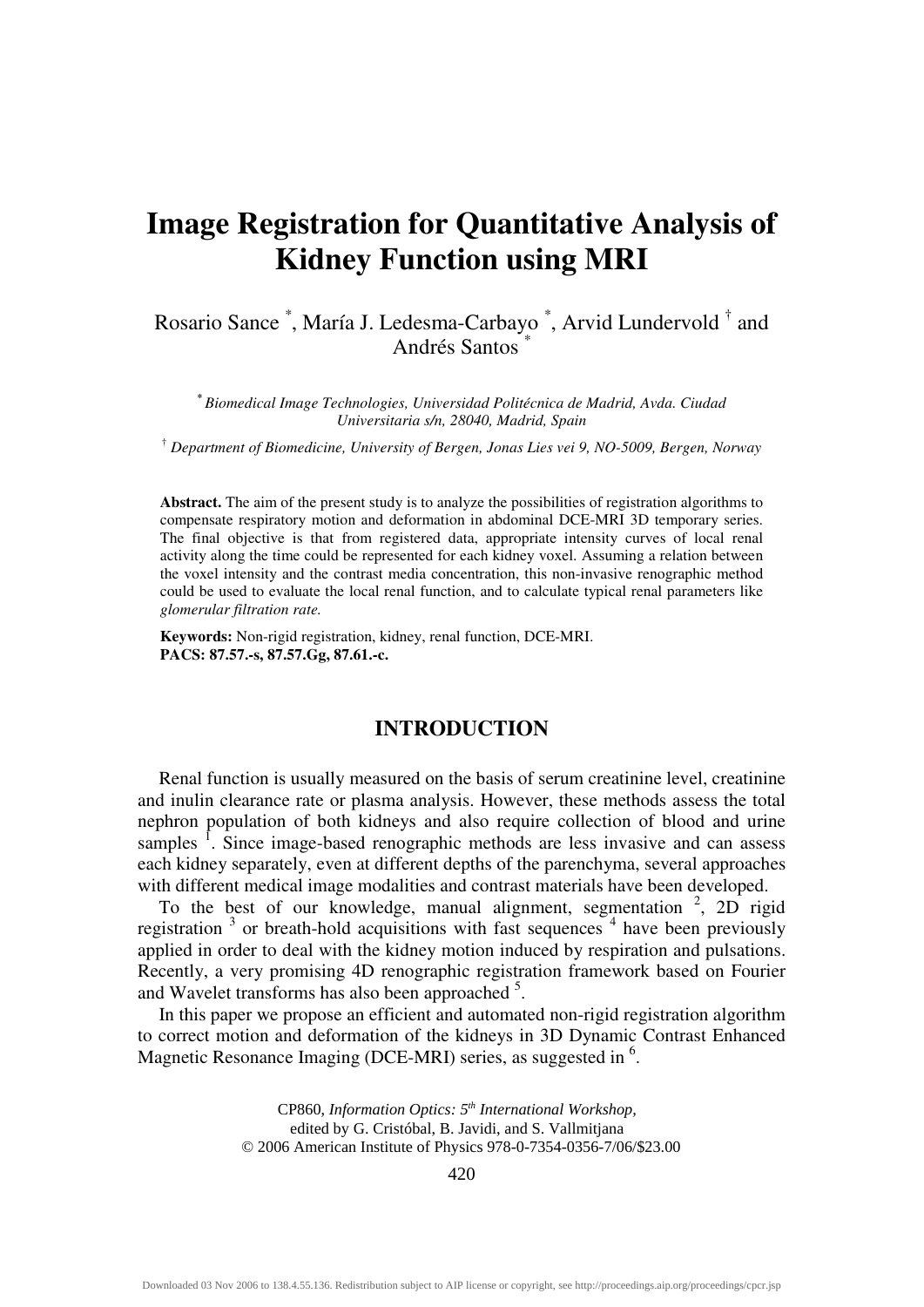# **Image Registration for Quantitative Analysis of Kidney Function using MRI**

## Rosario Sance<sup>\*</sup>, María J. Ledesma-Carbayo<sup>\*</sup>, Arvid Lundervold<sup>†</sup> and Andrés Santos \*

**\*** *Biomedical Image Technologies, Universidad Politécnica de Madrid, Avda. Ciudad Universitaria s/n, 28040, Madrid, Spain* 

†  *Department of Biomedicine, University of Bergen, Jonas Lies vei 9, NO-5009, Bergen, Norway* 

**Abstract.** The aim of the present study is to analyze the possibilities of registration algorithms to compensate respiratory motion and deformation in abdominal DCE-MRI 3D temporary series. The final objective is that from registered data, appropriate intensity curves of local renal activity along the time could be represented for each kidney voxel. Assuming a relation between the voxel intensity and the contrast media concentration, this non-invasive renographic method could be used to evaluate the local renal function, and to calculate typical renal parameters like *glomerular filtration rate.*

**Keywords:** Non-rigid registration, kidney, renal function, DCE-MRI. **PACS: 87.57.-s, 87.57.Gg, 87.61.-c.** 

#### **INTRODUCTION**

Renal function is usually measured on the basis of serum creatinine level, creatinine and inulin clearance rate or plasma analysis. However, these methods assess the total nephron population of both kidneys and also require collection of blood and urine samples <sup>1</sup>. Since image-based renographic methods are less invasive and can assess each kidney separately, even at different depths of the parenchyma, several approaches with different medical image modalities and contrast materials have been developed.

To the best of our knowledge, manual alignment, segmentation  $2$ , 2D rigid registration  $3$  or breath-hold acquisitions with fast sequences  $4$  have been previously applied in order to deal with the kidney motion induced by respiration and pulsations. Recently, a very promising 4D renographic registration framework based on Fourier and Wavelet transforms has also been approached <sup>5</sup>.

In this paper we propose an efficient and automated non-rigid registration algorithm to correct motion and deformation of the kidneys in 3D Dynamic Contrast Enhanced to correct motion and deformation of the Kidneys in 3D Dynamic Con-<br>Magnetic Resonance Imaging (DCE-MRI) series, as suggested in <sup>6</sup>.

> CP860, *Information Optics: 5th International Workshop,*  edited by G. Cristóbal, B. Javidi, and S. Vallmitjana © 2006 American Institute of Physics 978-0-7354-0356-7/06/\$23.00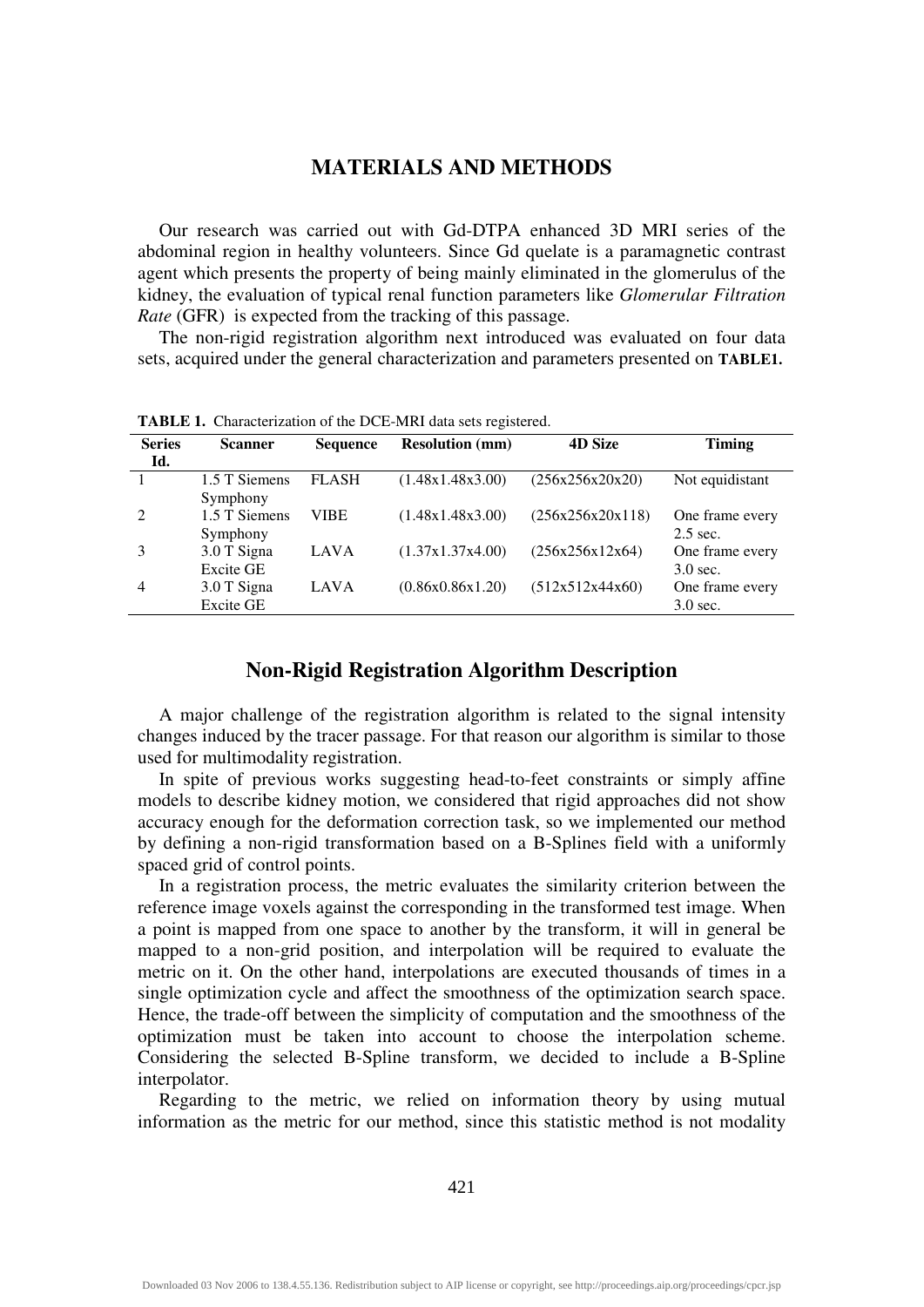#### **MATERIALS AND METHODS**

Our research was carried out with Gd-DTPA enhanced 3D MRI series of the abdominal region in healthy volunteers. Since Gd quelate is a paramagnetic contrast agent which presents the property of being mainly eliminated in the glomerulus of the kidney, the evaluation of typical renal function parameters like *Glomerular Filtration Rate* (GFR) is expected from the tracking of this passage.

The non-rigid registration algorithm next introduced was evaluated on four data sets, acquired under the general characterization and parameters presented on **TABLE1.**

| <b>Series</b><br>Id. | <b>Scanner</b>            | <b>Sequence</b> | <b>Resolution (mm)</b> | <b>4D Size</b>   | <b>Timing</b>                 |
|----------------------|---------------------------|-----------------|------------------------|------------------|-------------------------------|
|                      | 1.5 T Siemens<br>Symphony | <b>FLASH</b>    | (1.48x1.48x3.00)       | (256x256x20x20)  | Not equidistant               |
| 2                    | 1.5 T Siemens<br>Symphony | VIBE            | (1.48x1.48x3.00)       | (256x256x20x118) | One frame every<br>$2.5$ sec. |
|                      | 3.0 T Signa<br>Excite GE  | LAVA            | (1.37x1.37x4.00)       | (256x256x12x64)  | One frame every<br>$3.0$ sec. |
| 4                    | 3.0 T Signa<br>Excite GE  | LAVA            | (0.86x0.86x1.20)       | (512x512x44x60)  | One frame every<br>$3.0$ sec. |

**TABLE 1.** Characterization of the DCE-MRI data sets registered.

#### **Non-Rigid Registration Algorithm Description**

A major challenge of the registration algorithm is related to the signal intensity changes induced by the tracer passage. For that reason our algorithm is similar to those used for multimodality registration.

In spite of previous works suggesting head-to-feet constraints or simply affine models to describe kidney motion, we considered that rigid approaches did not show accuracy enough for the deformation correction task, so we implemented our method by defining a non-rigid transformation based on a B-Splines field with a uniformly spaced grid of control points.

In a registration process, the metric evaluates the similarity criterion between the reference image voxels against the corresponding in the transformed test image. When a point is mapped from one space to another by the transform, it will in general be mapped to a non-grid position, and interpolation will be required to evaluate the metric on it. On the other hand, interpolations are executed thousands of times in a single optimization cycle and affect the smoothness of the optimization search space. Hence, the trade-off between the simplicity of computation and the smoothness of the optimization must be taken into account to choose the interpolation scheme. Considering the selected B-Spline transform, we decided to include a B-Spline interpolator.

Regarding to the metric, we relied on information theory by using mutual information as the metric for our method, since this statistic method is not modality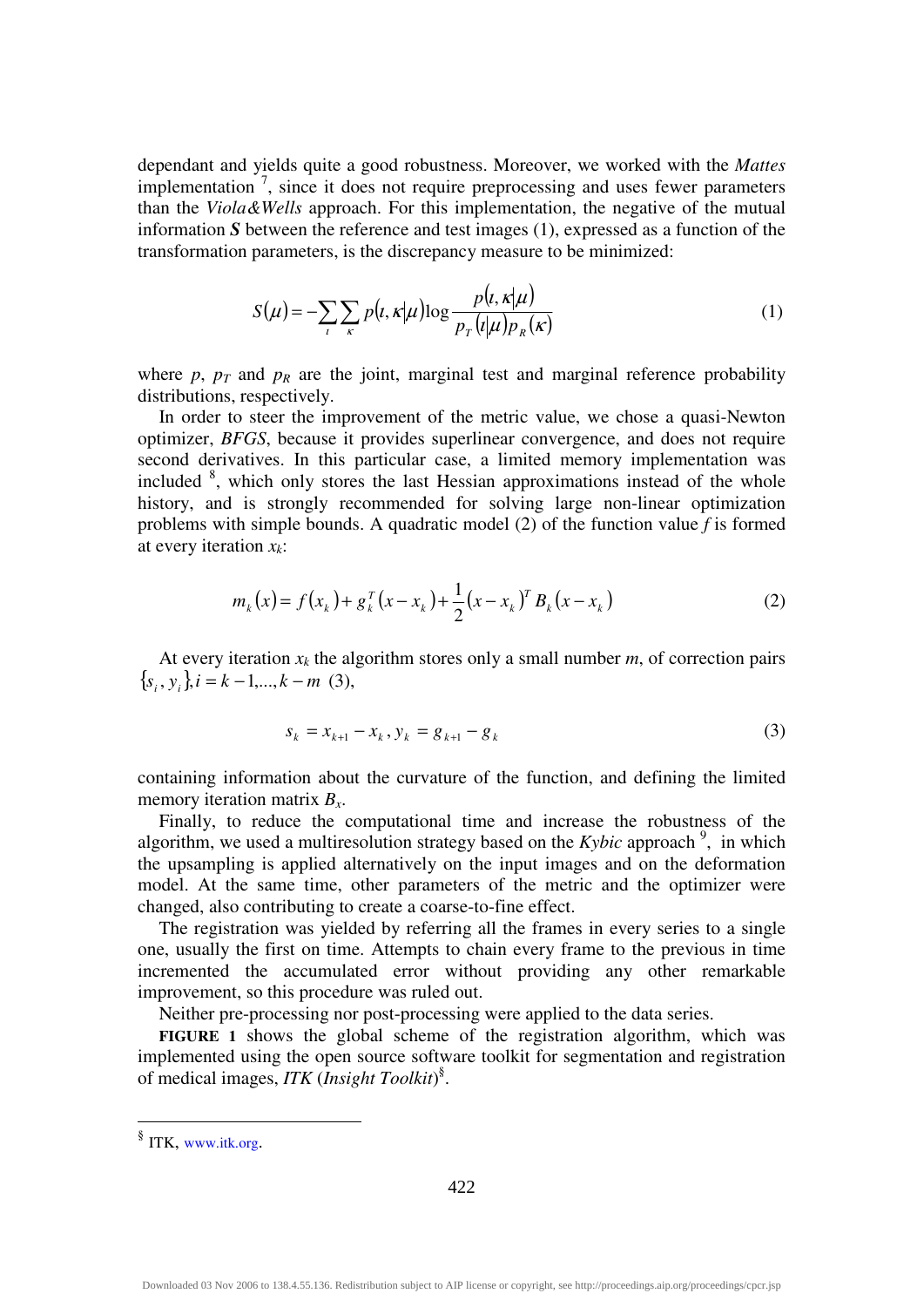dependant and yields quite a good robustness. Moreover, we worked with the *Mattes* implementation<sup>7</sup>, since it does not require preprocessing and uses fewer parameters than the *Viola&Wells* approach. For this implementation, the negative of the mutual information *S* between the reference and test images (1), expressed as a function of the transformation parameters, is the discrepancy measure to be minimized:

$$
S(\mu) = -\sum_{i} \sum_{\kappa} p(t, \kappa | \mu) \log \frac{p(t, \kappa | \mu)}{p_r(t | \mu) p_{\kappa}(\kappa)} \tag{1}
$$

where  $p$ ,  $p_T$  and  $p_R$  are the joint, marginal test and marginal reference probability distributions, respectively.

In order to steer the improvement of the metric value, we chose a quasi-Newton optimizer, *BFGS*, because it provides superlinear convergence, and does not require second derivatives. In this particular case, a limited memory implementation was included <sup>8</sup>, which only stores the last Hessian approximations instead of the whole history, and is strongly recommended for solving large non-linear optimization problems with simple bounds. A quadratic model (2) of the function value *f* is formed at every iteration *xk*:

$$
m_k(x) = f(x_k) + g_k^T(x - x_k) + \frac{1}{2}(x - x_k)^T B_k(x - x_k)
$$
 (2)

At every iteration  $x_k$  the algorithm stores only a small number  $m$ , of correction pairs  ${s_i, y_i}$ ,  $i = k - 1, ..., k - m$  (3),

$$
s_k = x_{k+1} - x_k, y_k = g_{k+1} - g_k
$$
\n(3)

containing information about the curvature of the function, and defining the limited memory iteration matrix *Bx*.

Finally, to reduce the computational time and increase the robustness of the algorithm, we used a multiresolution strategy based on the *Kybic* approach<sup>9</sup>, in which the upsampling is applied alternatively on the input images and on the deformation model. At the same time, other parameters of the metric and the optimizer were changed, also contributing to create a coarse-to-fine effect.

The registration was yielded by referring all the frames in every series to a single one, usually the first on time. Attempts to chain every frame to the previous in time incremented the accumulated error without providing any other remarkable improvement, so this procedure was ruled out.

Neither pre-processing nor post-processing were applied to the data series.

**FIGURE 1** shows the global scheme of the registration algorithm, which was implemented using the open source software toolkit for segmentation and registration of medical images, *ITK* (*Insight Toolkit*) § .

 § ITK, www.itk.org.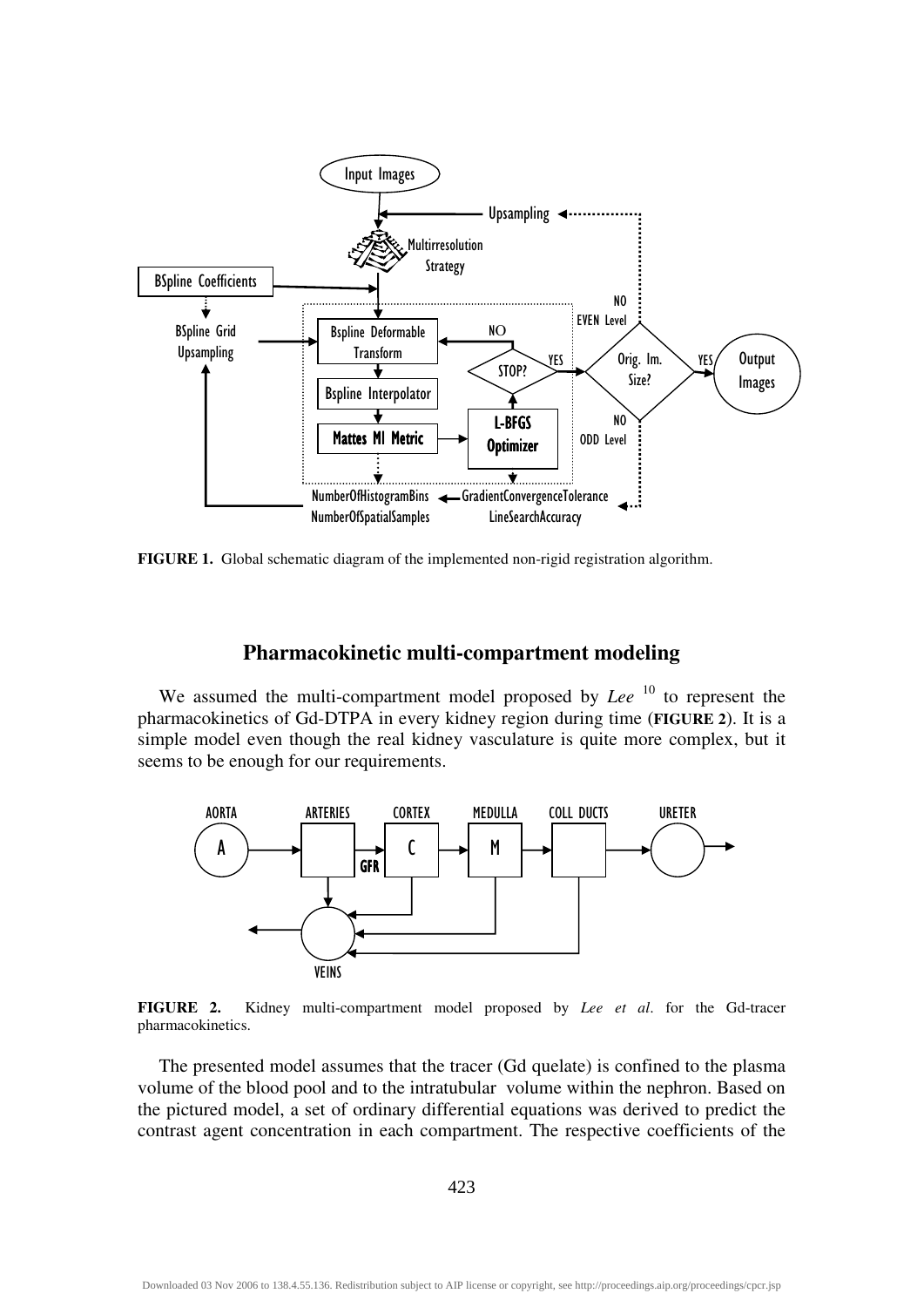

**FIGURE 1.** Global schematic diagram of the implemented non-rigid registration algorithm.

#### **Pharmacokinetic multi-compartment modeling**

We assumed the multi-compartment model proposed by *Lee* <sup>10</sup> to represent the pharmacokinetics of Gd-DTPA in every kidney region during time (**FIGURE 2**). It is a simple model even though the real kidney vasculature is quite more complex, but it seems to be enough for our requirements.



**FIGURE 2.** Kidney multi-compartment model proposed by *Lee et al*. for the Gd-tracer pharmacokinetics.

The presented model assumes that the tracer (Gd quelate) is confined to the plasma volume of the blood pool and to the intratubular volume within the nephron. Based on the pictured model, a set of ordinary differential equations was derived to predict the contrast agent concentration in each compartment. The respective coefficients of the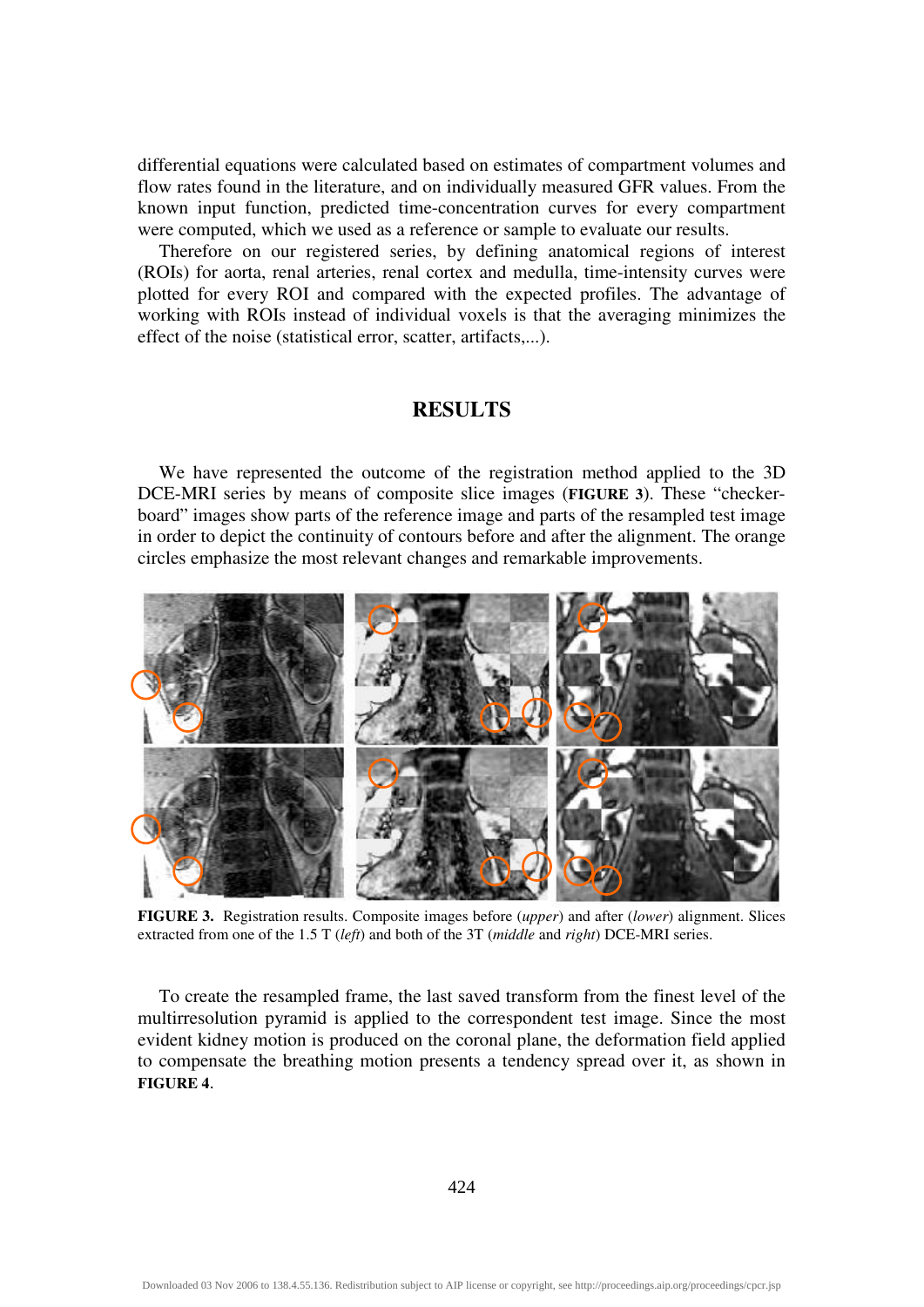differential equations were calculated based on estimates of compartment volumes and flow rates found in the literature, and on individually measured GFR values. From the known input function, predicted time-concentration curves for every compartment were computed, which we used as a reference or sample to evaluate our results.

Therefore on our registered series, by defining anatomical regions of interest (ROIs) for aorta, renal arteries, renal cortex and medulla, time-intensity curves were plotted for every ROI and compared with the expected profiles. The advantage of working with ROIs instead of individual voxels is that the averaging minimizes the effect of the noise (statistical error, scatter, artifacts,...).

#### **RESULTS**

We have represented the outcome of the registration method applied to the 3D DCE-MRI series by means of composite slice images (**FIGURE 3**). These "checkerboard" images show parts of the reference image and parts of the resampled test image in order to depict the continuity of contours before and after the alignment. The orange circles emphasize the most relevant changes and remarkable improvements.



**FIGURE 3.** Registration results. Composite images before (*upper*) and after (*lower*) alignment. Slices extracted from one of the 1.5 T (*left*) and both of the 3T (*middle* and *right*) DCE-MRI series.

To create the resampled frame, the last saved transform from the finest level of the multirresolution pyramid is applied to the correspondent test image. Since the most evident kidney motion is produced on the coronal plane, the deformation field applied to compensate the breathing motion presents a tendency spread over it, as shown in **FIGURE 4**.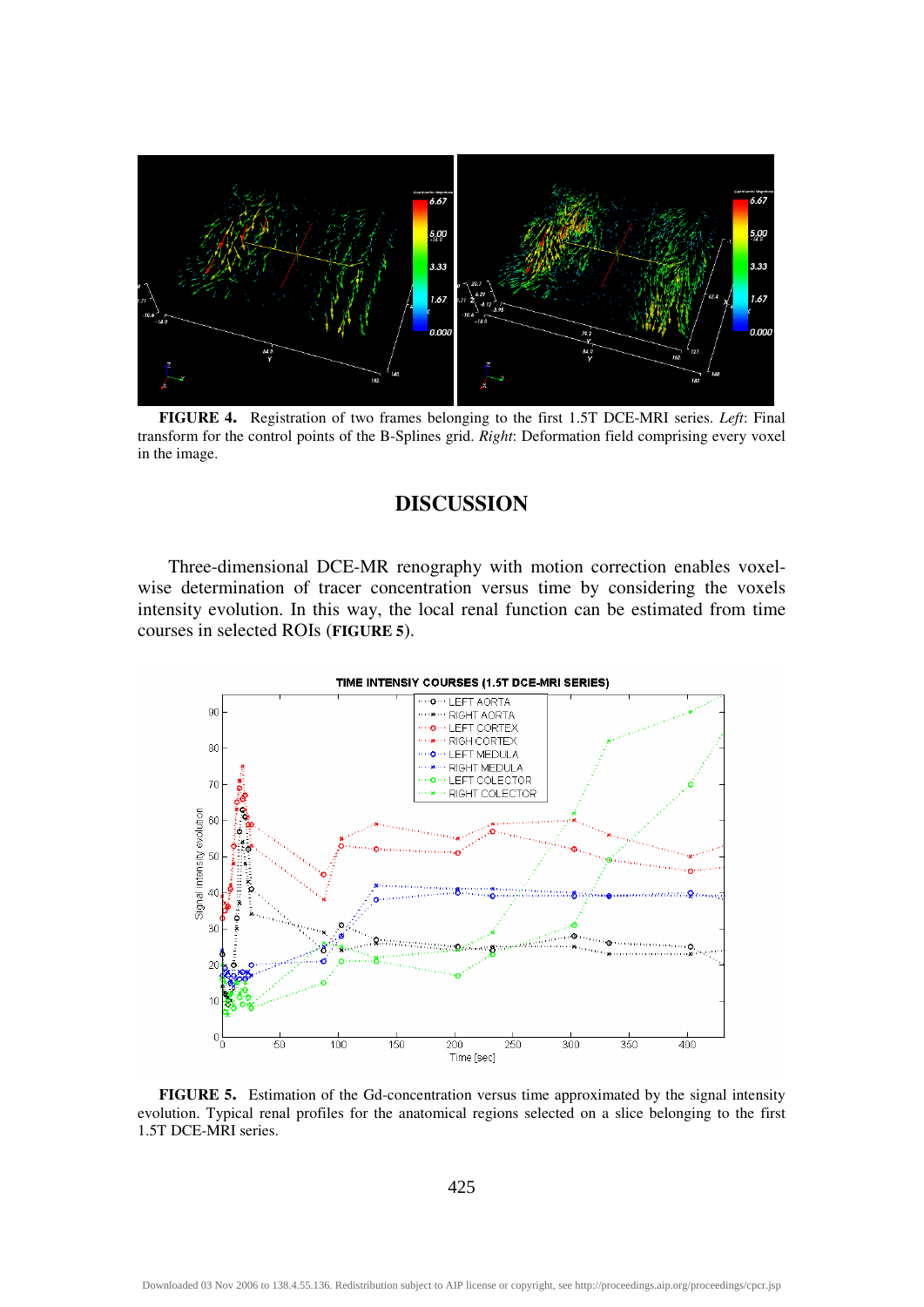

**FIGURE 4.** Registration of two frames belonging to the first 1.5T DCE-MRI series. *Left*: Final transform for the control points of the B-Splines grid. *Right*: Deformation field comprising every voxel in the image.

### **DISCUSSION**

 Three-dimensional DCE-MR renography with motion correction enables voxelwise determination of tracer concentration versus time by considering the voxels intensity evolution. In this way, the local renal function can be estimated from time courses in selected ROIs (**FIGURE 5**).



**FIGURE 5.** Estimation of the Gd-concentration versus time approximated by the signal intensity evolution. Typical renal profiles for the anatomical regions selected on a slice belonging to the first 1.5T DCE-MRI series.